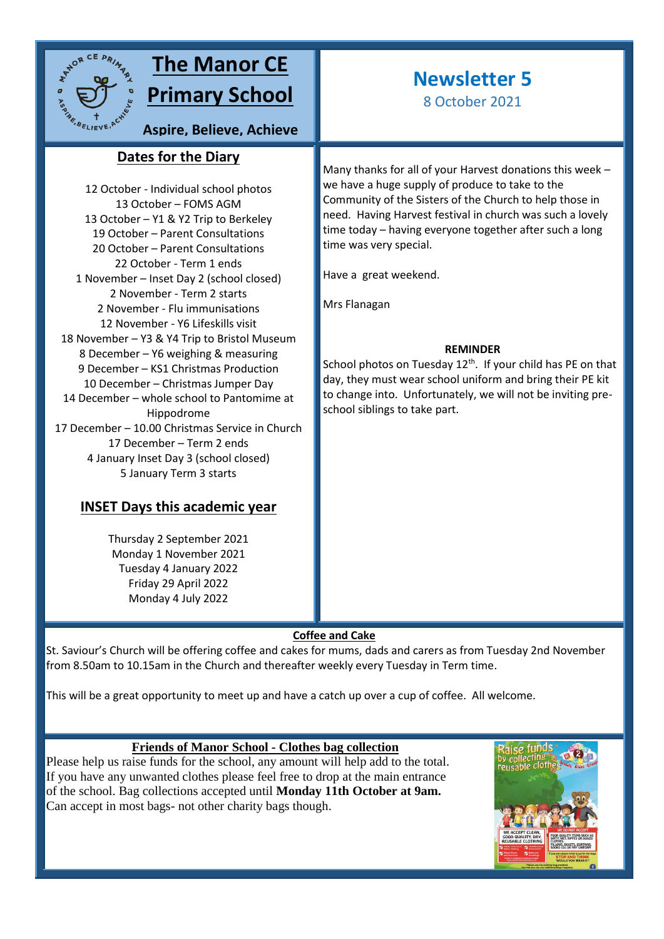

# **The Manor CE Primary School**

**Aspire, Believe, Achieve**

## **Dates for the Diary sky**

12 October - Individual school photos 13 October – FOMS AGM 13 October – Y1 & Y2 Trip to Berkeley 19 October – Parent Consultations 20 October – Parent Consultations 22 October - Term 1 ends 1 November – Inset Day 2 (school closed) 2 November - Term 2 starts 2 November - Flu immunisations 12 November - Y6 Lifeskills visit 18 November – Y3 & Y4 Trip to Bristol Museum 8 December – Y6 weighing & measuring 9 December – KS1 Christmas Production 10 December – Christmas Jumper Day 14 December – whole school to Pantomime at Hippodrome 17 December – 10.00 Christmas Service in Church 17 December – Term 2 ends 4 January Inset Day 3 (school closed) 5 January Term 3 starts

# **INSET Days this academic year**

Thursday 2 September 2021 Monday 1 November 2021 Tuesday 4 January 2022 Friday 29 April 2022 Monday 4 July 2022

# **Newsletter 5**

8 October 2021

Many thanks for all of your Harvest donations this week – we have a huge supply of produce to take to the Community of the Sisters of the Church to help those in need. Having Harvest festival in church was such a lovely time today – having everyone together after such a long time was very special.

Have a great weekend.

Mrs Flanagan

### **REMINDER**

School photos on Tuesday  $12<sup>th</sup>$ . If your child has PE on that day, they must wear school uniform and bring their PE kit to change into. Unfortunately, we will not be inviting preschool siblings to take part.

## **Coffee and Cake**

St. Saviour's Church will be offering coffee and cakes for mums, dads and carers as from Tuesday 2nd November from 8.50am to 10.15am in the Church and thereafter weekly every Tuesday in Term time.

This will be a great opportunity to meet up and have a catch up over a cup of coffee. All welcome.

## **Friends of Manor School - Clothes bag collection**

Please help us raise funds for the school, any amount will help add to the total. If you have any unwanted clothes please feel free to drop at the main entrance of the school. Bag collections accepted until **Monday 11th October at 9am.** Can accept in most bags- not other charity bags though.

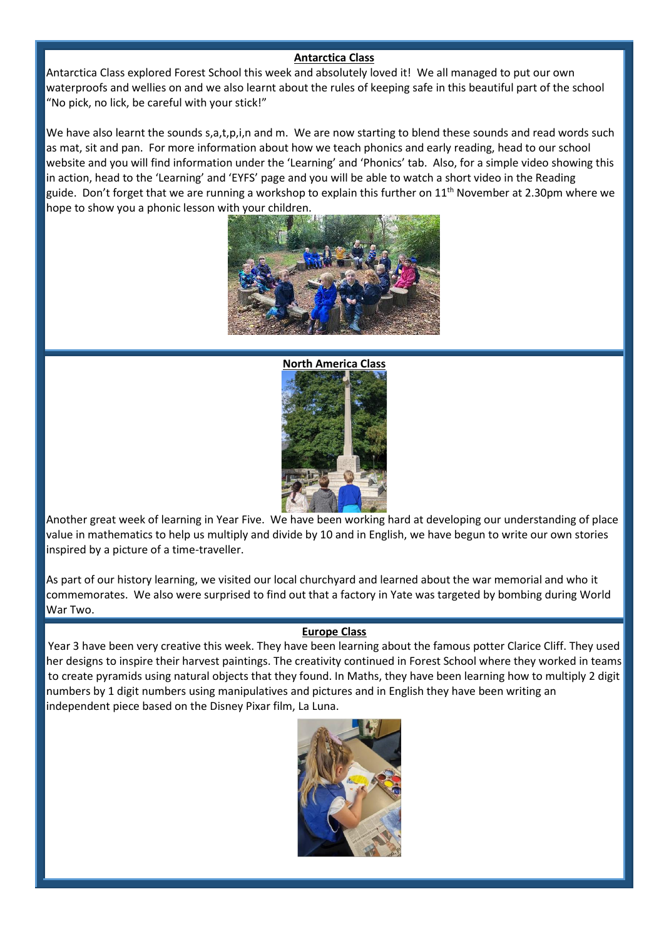### **Antarctica Class**

Antarctica Class explored Forest School this week and absolutely loved it! We all managed to put our own waterproofs and wellies on and we also learnt about the rules of keeping safe in this beautiful part of the school "No pick, no lick, be careful with your stick!"

We have also learnt the sounds s,a,t,p,i,n and m. We are now starting to blend these sounds and read words such as mat, sit and pan. For more information about how we teach phonics and early reading, head to our school website and you will find information under the 'Learning' and 'Phonics' tab. Also, for a simple video showing this in action, head to the 'Learning' and 'EYFS' page and you will be able to watch a short video in the Reading guide. Don't forget that we are running a workshop to explain this further on 11<sup>th</sup> November at 2.30pm where we hope to show you a phonic lesson with your children.





Another great week of learning in Year Five. We have been working hard at developing our understanding of place value in mathematics to help us multiply and divide by 10 and in English, we have begun to write our own stories inspired by a picture of a time-traveller.

As part of our history learning, we visited our local churchyard and learned about the war memorial and who it commemorates. We also were surprised to find out that a factory in Yate was targeted by bombing during World War Two.

#### **Europe Class**

Year 3 have been very creative this week. They have been learning about the famous potter Clarice Cliff. They used her designs to inspire their harvest paintings. The creativity continued in Forest School where they worked in teams to create pyramids using natural objects that they found. In Maths, they have been learning how to multiply 2 digit numbers by 1 digit numbers using manipulatives and pictures and in English they have been writing an independent piece based on the Disney Pixar film, La Luna.

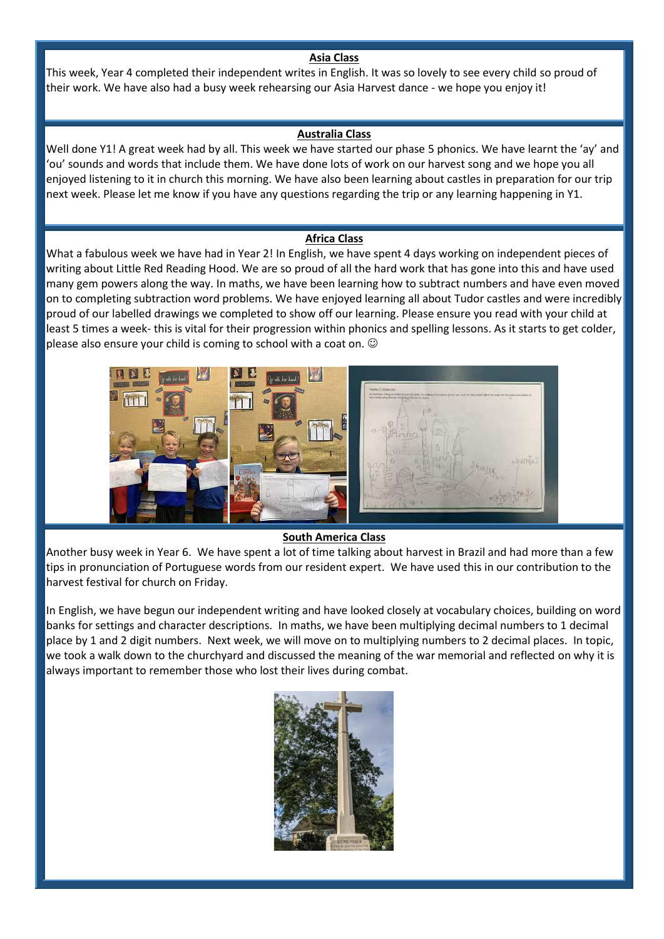#### **Asia Class**

This week, Year 4 completed their independent writes in English. It was so lovely to see every child so proud of their work. We have also had a busy week rehearsing our Asia Harvest dance - we hope you enjoy it!

#### **Australia Class**

Well done Y1! A great week had by all. This week we have started our phase 5 phonics. We have learnt the 'ay' and 'ou' sounds and words that include them. We have done lots of work on our harvest song and we hope you all enjoyed listening to it in church this morning. We have also been learning about castles in preparation for our trip next week. Please let me know if you have any questions regarding the trip or any learning happening in Y1.

#### **Africa Class**

What a fabulous week we have had in Year 2! In English, we have spent 4 days working on independent pieces of writing about Little Red Reading Hood. We are so proud of all the hard work that has gone into this and have used many gem powers along the way. In maths, we have been learning how to subtract numbers and have even moved on to completing subtraction word problems. We have enjoyed learning all about Tudor castles and were incredibly proud of our labelled drawings we completed to show off our learning. Please ensure you read with your child at least 5 times a week- this is vital for their progression within phonics and spelling lessons. As it starts to get colder, please also ensure your child is coming to school with a coat on.  $\odot$ 



#### **South America Class**

Another busy week in Year 6. We have spent a lot of time talking about harvest in Brazil and had more than a few tips in pronunciation of Portuguese words from our resident expert. We have used this in our contribution to the harvest festival for church on Friday.

In English, we have begun our independent writing and have looked closely at vocabulary choices, building on word banks for settings and character descriptions. In maths, we have been multiplying decimal numbers to 1 decimal place by 1 and 2 digit numbers. Next week, we will move on to multiplying numbers to 2 decimal places. In topic, we took a walk down to the churchyard and discussed the meaning of the war memorial and reflected on why it is always important to remember those who lost their lives during combat.

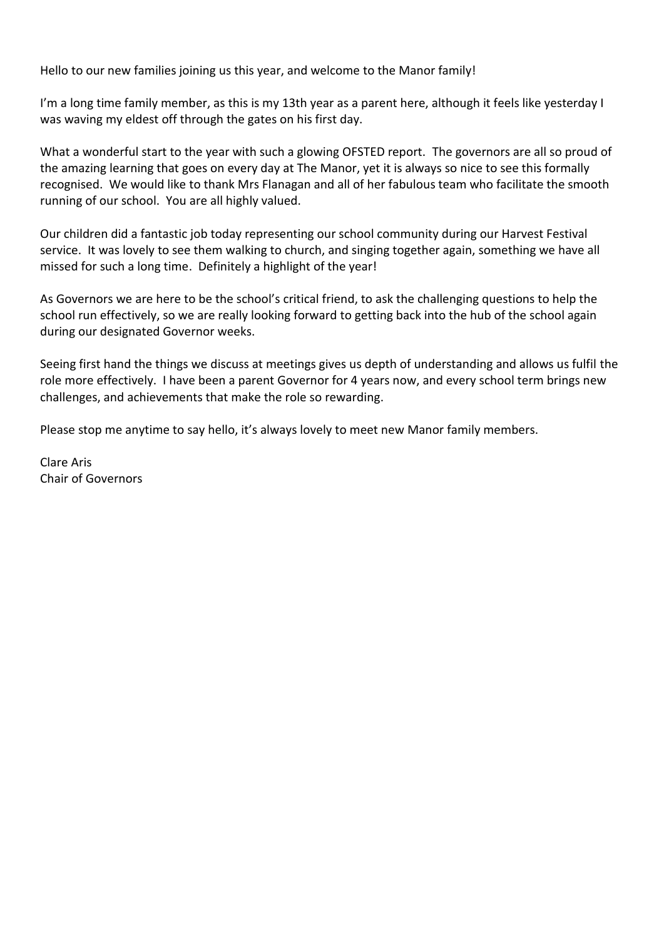Hello to our new families joining us this year, and welcome to the Manor family!

I'm a long time family member, as this is my 13th year as a parent here, although it feels like yesterday I was waving my eldest off through the gates on his first day.

What a wonderful start to the year with such a glowing OFSTED report. The governors are all so proud of the amazing learning that goes on every day at The Manor, yet it is always so nice to see this formally recognised. We would like to thank Mrs Flanagan and all of her fabulous team who facilitate the smooth running of our school. You are all highly valued.

Our children did a fantastic job today representing our school community during our Harvest Festival service. It was lovely to see them walking to church, and singing together again, something we have all missed for such a long time. Definitely a highlight of the year!

As Governors we are here to be the school's critical friend, to ask the challenging questions to help the school run effectively, so we are really looking forward to getting back into the hub of the school again during our designated Governor weeks.

Seeing first hand the things we discuss at meetings gives us depth of understanding and allows us fulfil the role more effectively. I have been a parent Governor for 4 years now, and every school term brings new challenges, and achievements that make the role so rewarding.

Please stop me anytime to say hello, it's always lovely to meet new Manor family members.

Clare Aris Chair of Governors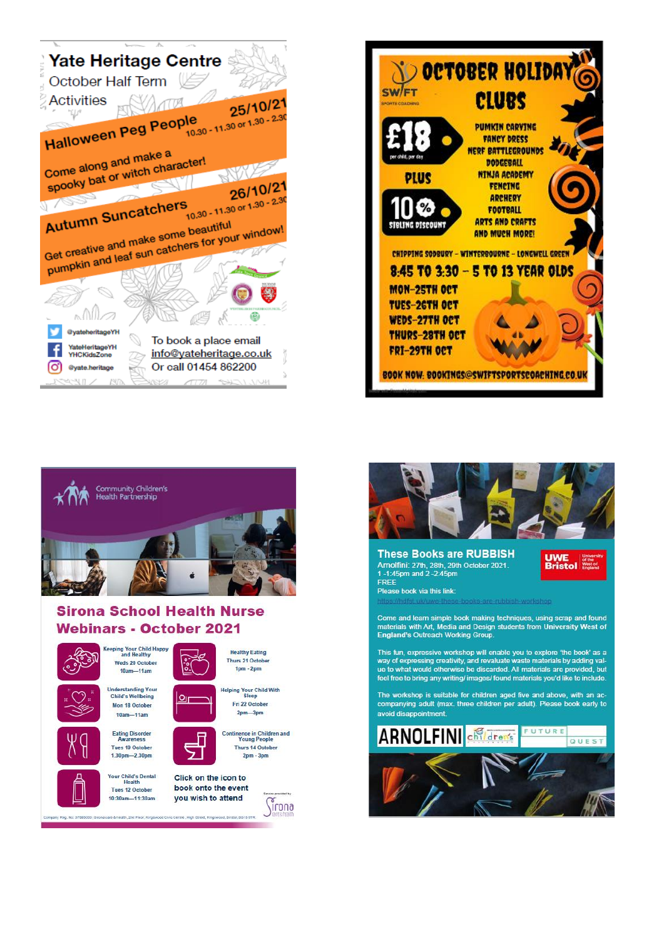





## **Sirona School Health Nurse Webinars - October 2021**





 $10am - 11am$ Eating Disorder<br>Awareness

Tues 19 October

1.30pm-2.30pm

Your Child's Dental

Tues 12 October

10:30am-11:30am

y Reg. No: 07685003 | Sirona care & health, 2nd Floor, King







**Helping Your Child With**<br>Sleep Fri 22 October  $2<sub>pm</sub> - 3<sub>pm</sub>$ 



 $2<sub>pm</sub> - 3<sub>pm</sub>$ Click on the icon to

book onto the event you wish to attend *irona* 



#### **These Books are RUBBISH** Arnolfini: 27th, 28th, 29th October 2021.<br>1-1:45pm and 2-2:45pm FREE

Please book via this link:

**UWE** 

Come and learn simple book making techniques, using scrap and found<br>materials with Art, Media and Design students from University West of England's Outreach Working Group

This fun, expressive workshop will enable you to explore 'the book' as a this out of expressing creativity, and revaluate you to experience the book as a way of expressing creativity, and revaluate waste materials by adding value to what would otherwise be discarded. All materials are provided, feel free to bring any writing/ images/ found materials you'd like to include.

The workshop is suitable for children aged five and above, with an accompanying adult (max. three children per adult). Please book early to avoid disappointment